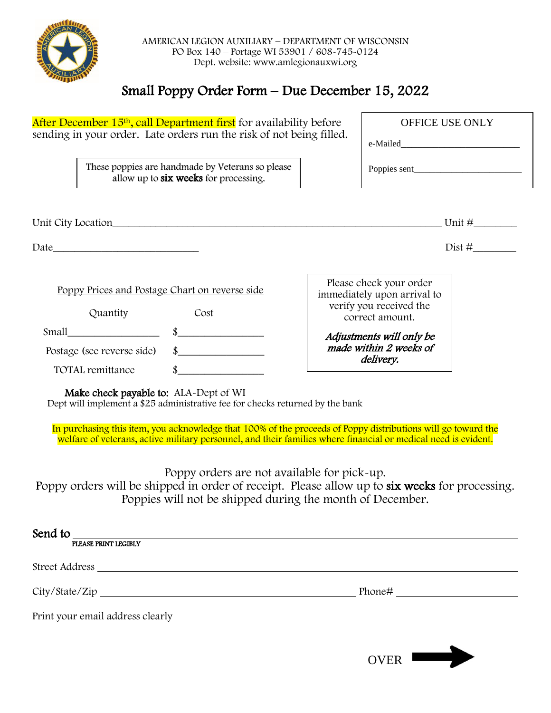

## Small Poppy Order Form – Due December 15, 2022

| After December 15 <sup>th</sup> , call Department first for availability before |                                                                                                                                                                                                                                |                                                        | OFFICE USE ONLY        |           |
|---------------------------------------------------------------------------------|--------------------------------------------------------------------------------------------------------------------------------------------------------------------------------------------------------------------------------|--------------------------------------------------------|------------------------|-----------|
| sending in your order. Late orders run the risk of not being filled.            |                                                                                                                                                                                                                                |                                                        |                        |           |
|                                                                                 | These poppies are handmade by Veterans so please<br>allow up to six weeks for processing.                                                                                                                                      |                                                        |                        |           |
|                                                                                 | Unit City Location Contract Contract Contract Contract Contract Contract Contract Contract Contract Contract Contract Contract Contract Contract Contract Contract Contract Contract Contract Contract Contract Contract Contr |                                                        |                        | Unit $\#$ |
|                                                                                 |                                                                                                                                                                                                                                |                                                        |                        | Dist#     |
| Poppy Prices and Postage Chart on reverse side                                  |                                                                                                                                                                                                                                | Please check your order<br>immediately upon arrival to |                        |           |
| Quantity                                                                        | Cost                                                                                                                                                                                                                           | verify you received the<br>correct amount.             |                        |           |
| Small $\frac{\ }{s}$ $\frac{\ }{s}$                                             |                                                                                                                                                                                                                                | Adjustments will only be                               |                        |           |
| Postage (see reverse side)                                                      | $\sim$                                                                                                                                                                                                                         |                                                        | made within 2 weeks of |           |
| <b>TOTAL</b> remittance                                                         | $\int$                                                                                                                                                                                                                         | <i>delivery.</i>                                       |                        |           |
| Make check navable to: $\Delta L A - D$ ent of WI                               |                                                                                                                                                                                                                                |                                                        |                        |           |

Make check payable to: ALA-Dept of WI

Dept will implement a \$25 administrative fee for checks returned by the bank

.<br>ا welfare of veterans, active military personnel, and their families where financial or medical need is evident. In purchasing this item, you acknowledge that 100% of the proceeds of Poppy distributions will go toward the

Poppy orders are not available for pick-up. Poppy orders will be shipped in order of receipt. Please allow up to six weeks for processing. Poppies will not be shipped during the month of December.

| Send to              |        |
|----------------------|--------|
| PLEASE PRINT LEGIBLY |        |
|                      |        |
| City/State/Zip       | Phone# |
|                      |        |
|                      |        |

OVER  $\Box$